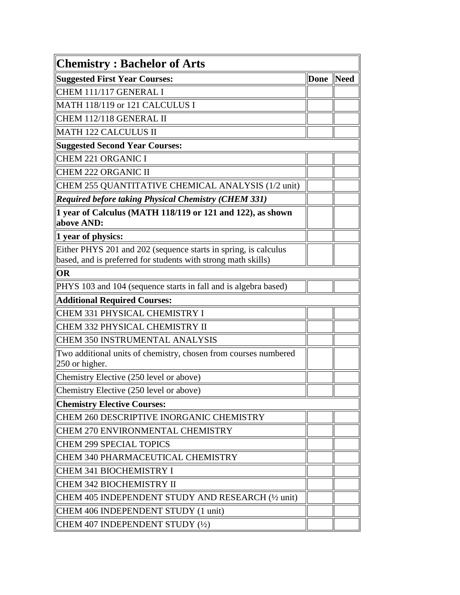| Chemistry: Bachelor of Arts                                                         |      |      |  |
|-------------------------------------------------------------------------------------|------|------|--|
| Suggested First Year Courses:                                                       | Done | Need |  |
| CHEM 111/117 GENERAL I                                                              |      |      |  |
| MATH 118/119 or 121 CALCULUS I                                                      |      |      |  |
| CHEM 112/118 GENERAL II                                                             |      |      |  |
| MATH 122 CALCULUS II                                                                |      |      |  |
| Suggested Second Year Courses:                                                      |      |      |  |
| CHEM 221 ORGANIC I                                                                  |      |      |  |
| CHEM 222 ORGANIC II                                                                 |      |      |  |
| CHEM 255 QUANTITATIVE CHEMICAL ANALYSIS (1/2 unit)                                  |      |      |  |
| Required before taking Physical Chemistry (CHEM 331)                                |      |      |  |
| 1 year of Calculus (MATH 118/119 or 121 and 122), as shown<br><b>labove AND:</b>    |      |      |  |
| $\ 1$ year of physics:                                                              |      |      |  |
| Either PHYS 201 and 202 (sequence starts in spring, is calculus                     |      |      |  |
| based, and is preferred for students with strong math skills)                       |      |      |  |
| <b>OR</b>                                                                           |      |      |  |
| PHYS 103 and 104 (sequence starts in fall and is algebra based)                     |      |      |  |
| Additional Required Courses:                                                        |      |      |  |
| CHEM 331 PHYSICAL CHEMISTRY I                                                       |      |      |  |
| CHEM 332 PHYSICAL CHEMISTRY II                                                      |      |      |  |
| CHEM 350 INSTRUMENTAL ANALYSIS                                                      |      |      |  |
| Two additional units of chemistry, chosen from courses numbered<br>$250$ or higher. |      |      |  |
| Chemistry Elective (250 level or above)                                             |      |      |  |
| Chemistry Elective (250 level or above)                                             |      |      |  |
| <b>Chemistry Elective Courses:</b>                                                  |      |      |  |
| CHEM 260 DESCRIPTIVE INORGANIC CHEMISTRY                                            |      |      |  |
| CHEM 270 ENVIRONMENTAL CHEMISTRY                                                    |      |      |  |
| CHEM 299 SPECIAL TOPICS                                                             |      |      |  |
| CHEM 340 PHARMACEUTICAL CHEMISTRY                                                   |      |      |  |
| CHEM 341 BIOCHEMISTRY I                                                             |      |      |  |
| CHEM 342 BIOCHEMISTRY II                                                            |      |      |  |
| CHEM 405 INDEPENDENT STUDY AND RESEARCH (1/2 unit)                                  |      |      |  |
| CHEM 406 INDEPENDENT STUDY (1 unit)                                                 |      |      |  |
| CHEM 407 INDEPENDENT STUDY $(\frac{1}{2})$                                          |      |      |  |